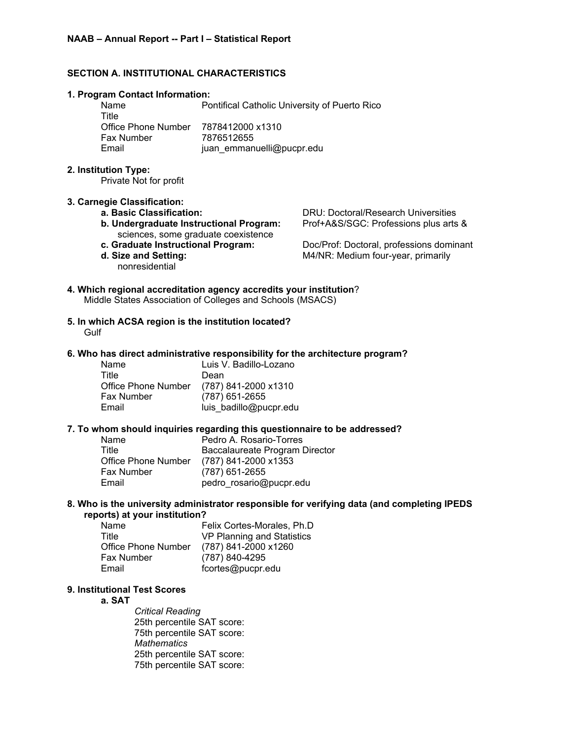# **SECTION A. INSTITUTIONAL CHARACTERISTICS**

#### **1. Program Contact Information:**

Name Pontifical Catholic University of Puerto Rico **Title** Office Phone Number 7878412000 x1310 Fax Number 7876512655 Email juan\_emmanuelli@pucpr.edu

### **2. Institution Type:**

Private Not for profit

### **3. Carnegie Classification:**

- 
- **b. Undergraduate Instructional Program:** Prof+A&S/SGC: Professions plus arts & sciences, some graduate coexistence
- 
- nonresidential

**a. Basic Classification:** DRU: Doctoral/Research Universities

**c. Graduate Instructional Program:** Doc/Prof: Doctoral, professions dominant **d. Size and Setting:** M4/NR: Medium four-year, primarily

# **4. Which regional accreditation agency accredits your institution**? Middle States Association of Colleges and Schools (MSACS)

**5. In which ACSA region is the institution located? Gulf** 

## **6. Who has direct administrative responsibility for the architecture program?**

| Name                | Luis V. Badillo-Lozano |
|---------------------|------------------------|
| Title               | Dean                   |
| Office Phone Number | (787) 841-2000 x1310   |
| Fax Number          | (787) 651-2655         |
| Email               | luis badillo@pucpr.edu |

### **7. To whom should inquiries regarding this questionnaire to be addressed?**

| Name                | Pedro A. Rosario-Torres        |
|---------------------|--------------------------------|
| Title               | Baccalaureate Program Director |
| Office Phone Number | (787) 841-2000 x1353           |
| <b>Fax Number</b>   | (787) 651-2655                 |
| Email               | pedro_rosario@pucpr.edu        |

#### **8. Who is the university administrator responsible for verifying data (and completing IPEDS reports) at your institution?**

| Name                | Felix Cortes-Morales, Ph.D |
|---------------------|----------------------------|
| Title               | VP Planning and Statistics |
| Office Phone Number | (787) 841-2000 x1260       |
| <b>Fax Number</b>   | (787) 840-4295             |
| Email               | fcortes@pucpr.edu          |

# **9. Institutional Test Scores**

### **a. SAT**

*Critical Reading* 25th percentile SAT score: 75th percentile SAT score: *Mathematics* 25th percentile SAT score: 75th percentile SAT score: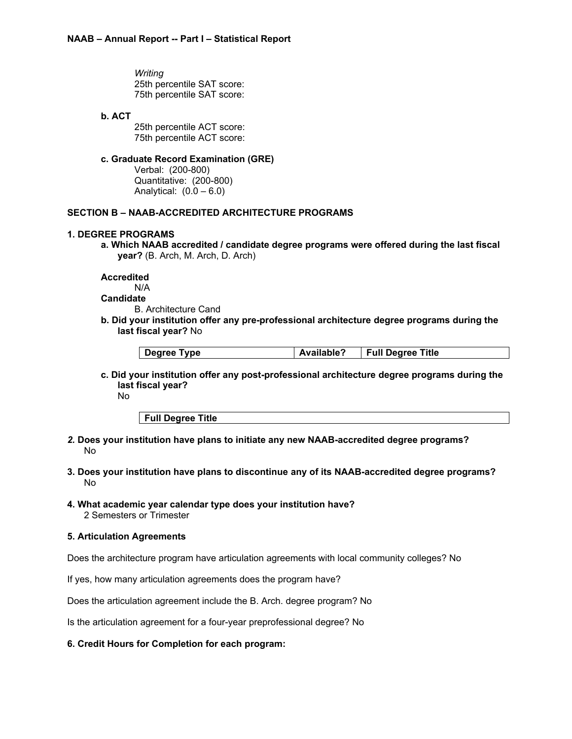*Writing* 25th percentile SAT score: 75th percentile SAT score:

## **b. ACT**

25th percentile ACT score: 75th percentile ACT score:

# **c. Graduate Record Examination (GRE)**

Verbal: (200-800) Quantitative: (200-800) Analytical:  $(0.0 - 6.0)$ 

# **SECTION B – NAAB-ACCREDITED ARCHITECTURE PROGRAMS**

# **1. DEGREE PROGRAMS**

**a. Which NAAB accredited / candidate degree programs were offered during the last fiscal year?** (B. Arch, M. Arch, D. Arch)

**Accredited** N/A **Candidate**

B. Architecture Cand

**b. Did your institution offer any pre-professional architecture degree programs during the last fiscal year?** No

| Available?<br>Full Degree Title<br>Degree Type |
|------------------------------------------------|
|------------------------------------------------|

**c. Did your institution offer any post-professional architecture degree programs during the last fiscal year?**

No

**Full Degree Title**

- *2.* **Does your institution have plans to initiate any new NAAB-accredited degree programs?** No
- **3. Does your institution have plans to discontinue any of its NAAB-accredited degree programs?** No
- **4. What academic year calendar type does your institution have?** 2 Semesters or Trimester

# **5. Articulation Agreements**

Does the architecture program have articulation agreements with local community colleges? No

If yes, how many articulation agreements does the program have?

Does the articulation agreement include the B. Arch. degree program? No

Is the articulation agreement for a four-year preprofessional degree? No

### **6. Credit Hours for Completion for each program:**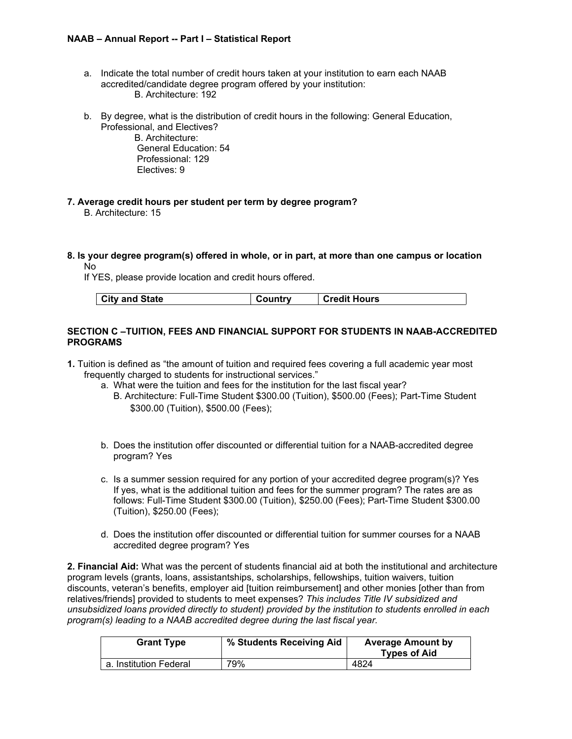- a. Indicate the total number of credit hours taken at your institution to earn each NAAB accredited/candidate degree program offered by your institution: B. Architecture: 192
- b. By degree, what is the distribution of credit hours in the following: General Education, Professional, and Electives?
	- B. Architecture: General Education: 54 Professional: 129 Electives: 9
- **7. Average credit hours per student per term by degree program?** B. Architecture: 15
- **8. Is your degree program(s) offered in whole, or in part, at more than one campus or location** No

If YES, please provide location and credit hours offered.

| City and State<br>Country | <b>Credit Hours</b> |
|---------------------------|---------------------|
|---------------------------|---------------------|

# **SECTION C –TUITION, FEES AND FINANCIAL SUPPORT FOR STUDENTS IN NAAB-ACCREDITED PROGRAMS**

- **1.** Tuition is defined as "the amount of tuition and required fees covering a full academic year most frequently charged to students for instructional services."
	- a. What were the tuition and fees for the institution for the last fiscal year?
		- B. Architecture: Full-Time Student \$300.00 (Tuition), \$500.00 (Fees); Part-Time Student \$300.00 (Tuition), \$500.00 (Fees);
	- b. Does the institution offer discounted or differential tuition for a NAAB-accredited degree program? Yes
	- c. Is a summer session required for any portion of your accredited degree program(s)? Yes If yes, what is the additional tuition and fees for the summer program? The rates are as follows: Full-Time Student \$300.00 (Tuition), \$250.00 (Fees); Part-Time Student \$300.00 (Tuition), \$250.00 (Fees);
	- d. Does the institution offer discounted or differential tuition for summer courses for a NAAB accredited degree program? Yes

**2. Financial Aid:** What was the percent of students financial aid at both the institutional and architecture program levels (grants, loans, assistantships, scholarships, fellowships, tuition waivers, tuition discounts, veteran's benefits, employer aid [tuition reimbursement] and other monies [other than from relatives/friends] provided to students to meet expenses? *This includes Title IV subsidized and unsubsidized loans provided directly to student) provided by the institution to students enrolled in each program(s) leading to a NAAB accredited degree during the last fiscal year.*

| <b>Grant Type</b>      | % Students Receiving Aid | <b>Average Amount by</b><br><b>Types of Aid</b> |
|------------------------|--------------------------|-------------------------------------------------|
| a. Institution Federal | 79%                      | 4824                                            |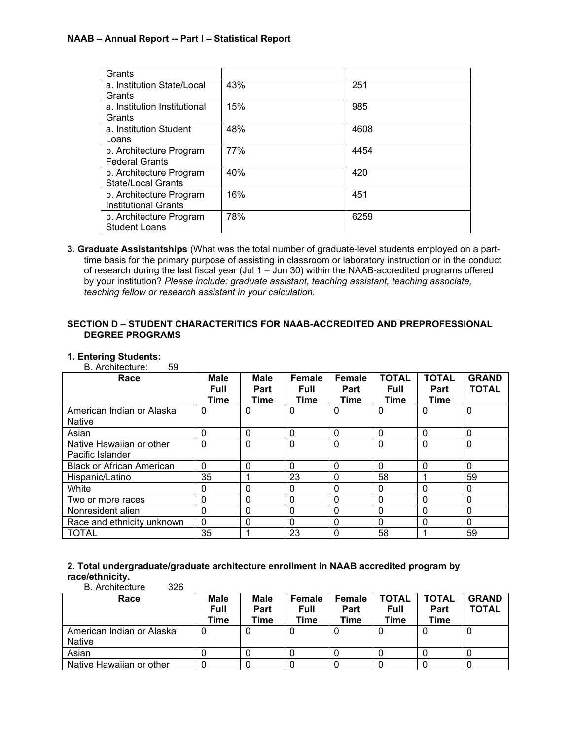| Grants                       |     |      |
|------------------------------|-----|------|
| a. Institution State/Local   | 43% | 251  |
| Grants                       |     |      |
| a. Institution Institutional | 15% | 985  |
| Grants                       |     |      |
| a. Institution Student       | 48% | 4608 |
| Loans                        |     |      |
| b. Architecture Program      | 77% | 4454 |
| <b>Federal Grants</b>        |     |      |
| b. Architecture Program      | 40% | 420  |
| State/Local Grants           |     |      |
| b. Architecture Program      | 16% | 451  |
| <b>Institutional Grants</b>  |     |      |
| b. Architecture Program      | 78% | 6259 |
| <b>Student Loans</b>         |     |      |

**3. Graduate Assistantships** (What was the total number of graduate-level students employed on a parttime basis for the primary purpose of assisting in classroom or laboratory instruction or in the conduct of research during the last fiscal year (Jul 1 – Jun 30) within the NAAB-accredited programs offered by your institution? *Please include: graduate assistant, teaching assistant, teaching associate, teaching fellow or research assistant in your calculation.*

# **SECTION D – STUDENT CHARACTERITICS FOR NAAB-ACCREDITED AND PREPROFESSIONAL DEGREE PROGRAMS**

### **1. Entering Students:**

B. Architecture: 59

| Race                                         | <b>Male</b><br><b>Full</b><br><b>Time</b> | <b>Male</b><br>Part<br>Time | Female<br><b>Full</b><br><b>Time</b> | <b>Female</b><br>Part<br>Time | <b>TOTAL</b><br><b>Full</b><br><b>Time</b> | <b>TOTAL</b><br>Part<br><b>Time</b> | <b>GRAND</b><br><b>TOTAL</b> |
|----------------------------------------------|-------------------------------------------|-----------------------------|--------------------------------------|-------------------------------|--------------------------------------------|-------------------------------------|------------------------------|
| American Indian or Alaska<br><b>Native</b>   | 0                                         | 0                           | $\mathbf 0$                          | 0                             | $\mathbf 0$                                | 0                                   | $\mathbf{0}$                 |
| Asian                                        | 0                                         | 0                           | $\mathbf 0$                          | $\mathbf 0$                   | 0                                          | $\mathbf{0}$                        | $\mathbf 0$                  |
| Native Hawaiian or other<br>Pacific Islander | $\mathbf 0$                               | 0                           | $\mathbf 0$                          | $\Omega$                      | $\mathbf{0}$                               | $\mathbf{0}$                        | $\mathbf 0$                  |
| <b>Black or African American</b>             | $\Omega$                                  | $\Omega$                    | $\Omega$                             | $\Omega$                      | $\Omega$                                   | $\Omega$                            | $\mathbf 0$                  |
| Hispanic/Latino                              | 35                                        |                             | 23                                   | $\Omega$                      | 58                                         | и                                   | 59                           |
| White                                        | $\Omega$                                  | 0                           | $\mathbf 0$                          | $\Omega$                      | $\Omega$                                   | $\Omega$                            | $\mathbf{0}$                 |
| Two or more races                            | 0                                         | 0                           | $\mathbf 0$                          | $\Omega$                      | <sup>0</sup>                               | $\Omega$                            | $\mathbf 0$                  |
| Nonresident alien                            | $\Omega$                                  | 0                           | $\mathbf 0$                          | $\Omega$                      | $\Omega$                                   | $\Omega$                            | $\mathbf 0$                  |
| Race and ethnicity unknown                   | $\Omega$                                  | 0                           | $\Omega$                             | $\Omega$                      | $\Omega$                                   | $\Omega$                            | $\Omega$                     |
| <b>TOTAL</b>                                 | 35                                        |                             | 23                                   | $\Omega$                      | 58                                         |                                     | 59                           |

#### **2. Total undergraduate/graduate architecture enrollment in NAAB accredited program by race/ethnicity.** B. Architecture 326

| Race                                       | Male<br>Full<br>Time | Male<br>Part<br>Time | Female<br><b>Full</b><br>Time | Female<br>Part<br>Time | TOTAL<br><b>Full</b><br>Time | <b>TOTAL</b><br>Part<br>Time | <b>GRAND</b><br><b>TOTAL</b> |
|--------------------------------------------|----------------------|----------------------|-------------------------------|------------------------|------------------------------|------------------------------|------------------------------|
| American Indian or Alaska<br><b>Native</b> |                      | υ                    | U                             |                        |                              |                              | υ                            |
| Asian                                      |                      |                      |                               |                        |                              |                              | υ                            |
| Native Hawaiian or other                   |                      |                      |                               |                        |                              |                              |                              |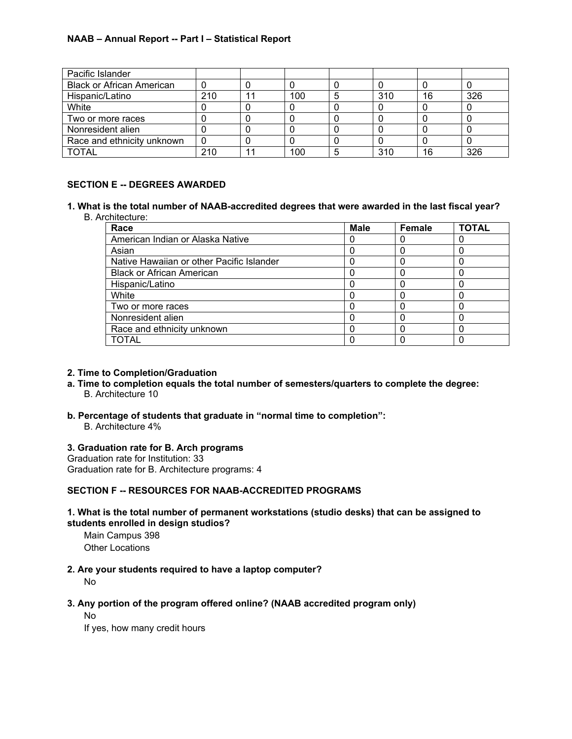| Pacific Islander                 |     |     |     |    |     |
|----------------------------------|-----|-----|-----|----|-----|
| <b>Black or African American</b> |     |     |     |    |     |
| Hispanic/Latino                  | 210 | 100 | 310 | 16 | 326 |
| White                            |     |     |     |    |     |
| Two or more races                |     |     |     |    |     |
| Nonresident alien                |     |     |     |    |     |
| Race and ethnicity unknown       |     |     |     |    |     |
| TOTAL                            | 210 | 100 | 310 | 16 | 326 |

# **SECTION E -- DEGREES AWARDED**

**1. What is the total number of NAAB-accredited degrees that were awarded in the last fiscal year?** B. Architecture:

| Race                                      | <b>Male</b> | Female | <b>TOTAL</b> |
|-------------------------------------------|-------------|--------|--------------|
| American Indian or Alaska Native          |             |        |              |
| Asian                                     |             |        |              |
| Native Hawaiian or other Pacific Islander |             |        |              |
| <b>Black or African American</b>          |             |        |              |
| Hispanic/Latino                           |             |        |              |
| White                                     |             |        |              |
| Two or more races                         |             |        |              |
| Nonresident alien                         |             |        |              |
| Race and ethnicity unknown                |             |        |              |
| TOTAL                                     |             |        |              |

## **2. Time to Completion/Graduation**

- **a. Time to completion equals the total number of semesters/quarters to complete the degree:** B. Architecture 10
- **b. Percentage of students that graduate in "normal time to completion":**

B. Architecture 4%

# **3. Graduation rate for B. Arch programs**

Graduation rate for Institution: 33 Graduation rate for B. Architecture programs: 4

# **SECTION F -- RESOURCES FOR NAAB-ACCREDITED PROGRAMS**

# **1. What is the total number of permanent workstations (studio desks) that can be assigned to students enrolled in design studios?**

Main Campus 398 Other Locations

# **2. Are your students required to have a laptop computer?**

No

# **3. Any portion of the program offered online? (NAAB accredited program only)**

No

If yes, how many credit hours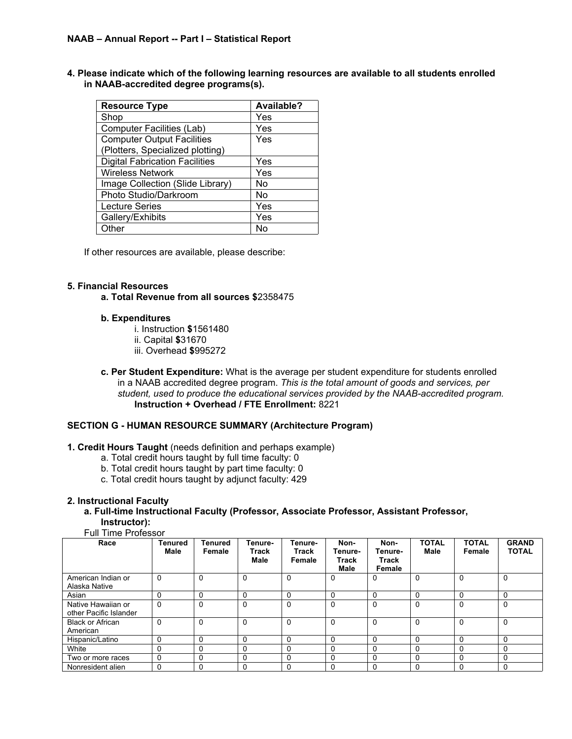**4. Please indicate which of the following learning resources are available to all students enrolled in NAAB-accredited degree programs(s).**

| <b>Resource Type</b>                  | Available? |
|---------------------------------------|------------|
| Shop                                  | Yes        |
| <b>Computer Facilities (Lab)</b>      | Yes        |
| <b>Computer Output Facilities</b>     | Yes        |
| (Plotters, Specialized plotting)      |            |
| <b>Digital Fabrication Facilities</b> | Yes        |
| <b>Wireless Network</b>               | Yes        |
| Image Collection (Slide Library)      | No         |
| Photo Studio/Darkroom                 | No         |
| <b>Lecture Series</b>                 | Yes        |
| Gallery/Exhibits                      | Yes        |
| Other                                 | N٥         |

If other resources are available, please describe:

#### **5. Financial Resources**

**a. Total Revenue from all sources \$**2358475

#### **b. Expenditures**

- i. Instruction **\$**1561480
- ii. Capital **\$**31670
- iii. Overhead **\$**995272
- **c. Per Student Expenditure:** What is the average per student expenditure for students enrolled in a NAAB accredited degree program. *This is the total amount of goods and services, per student, used to produce the educational services provided by the NAAB-accredited program.* **Instruction + Overhead / FTE Enrollment:** 8221

# **SECTION G - HUMAN RESOURCE SUMMARY (Architecture Program)**

# **1. Credit Hours Taught** (needs definition and perhaps example)

- a. Total credit hours taught by full time faculty: 0
- b. Total credit hours taught by part time faculty: 0
- c. Total credit hours taught by adjunct faculty: 429

### **2. Instructional Faculty**

**a. Full-time Instructional Faculty (Professor, Associate Professor, Assistant Professor, Instructor):**

#### Full Time Professor

| Race                                         | <b>Tenured</b><br>Male | <b>Tenured</b><br>Female | Tenure-<br>Track<br>Male | Tenure-<br>Track<br>Female | Non-<br>Tenure-<br><b>Track</b><br>Male | Non-<br>Tenure-<br>Track<br>Female | <b>TOTAL</b><br><b>Male</b> | <b>TOTAL</b><br>Female | <b>GRAND</b><br><b>TOTAL</b> |
|----------------------------------------------|------------------------|--------------------------|--------------------------|----------------------------|-----------------------------------------|------------------------------------|-----------------------------|------------------------|------------------------------|
| American Indian or<br>Alaska Native          | 0                      | $\Omega$                 | $\mathbf 0$              | $\Omega$                   | 0                                       | 0                                  | $\mathbf 0$                 | $\Omega$               | 0                            |
| Asian                                        | ŋ                      | $\Omega$                 | $\Omega$                 |                            | 0                                       | $\Omega$                           | $\Omega$                    | 0                      |                              |
| Native Hawaiian or<br>other Pacific Islander | 0                      | 0                        | $\Omega$                 | $\Omega$                   | 0                                       | $\Omega$                           | $\Omega$                    | $\Omega$               | 0                            |
| <b>Black or African</b><br>American          | 0                      | $\Omega$                 | $\Omega$                 | $\Omega$                   | $\Omega$                                | $\Omega$                           | $\Omega$                    | $\Omega$               | $\Omega$                     |
| Hispanic/Latino                              | 0                      | 0                        | $\mathbf 0$              |                            | 0                                       | 0                                  | $\mathbf 0$                 | 0                      |                              |
| White                                        | 0                      | 0                        | 0                        |                            | 0                                       | 0                                  |                             | 0                      |                              |
| Two or more races                            | 0                      | 0                        | $\mathbf 0$              | 0                          | 0                                       | 0                                  | $\mathbf 0$                 | 0                      | 0                            |
| Nonresident alien                            | $\Omega$               | 0                        | 0                        |                            | 0                                       | 0                                  | $\Omega$                    | $\Omega$               |                              |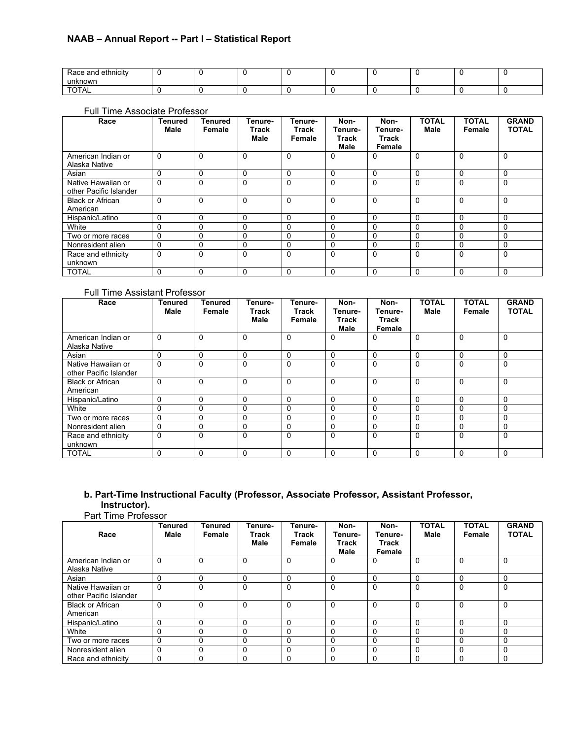| Race and ethnicity<br>unknown |  |  |  |  |  |
|-------------------------------|--|--|--|--|--|
|                               |  |  |  |  |  |

#### Full Time Associate Professor

| Race                                         | <b>Tenured</b><br>Male | Tenured<br>Female | Tenure-<br>Track<br>Male | Tenure-<br>Track<br>Female | Non-<br>Tenure-<br>Track<br><b>Male</b> | Non-<br>Tenure-<br>Track<br>Female | <b>TOTAL</b><br><b>Male</b> | <b>TOTAL</b><br>Female | <b>GRAND</b><br><b>TOTAL</b> |
|----------------------------------------------|------------------------|-------------------|--------------------------|----------------------------|-----------------------------------------|------------------------------------|-----------------------------|------------------------|------------------------------|
| American Indian or                           | 0                      | $\Omega$          | $\mathbf 0$              | $\Omega$                   | 0                                       | 0                                  | $\Omega$                    | 0                      | $\Omega$                     |
| Alaska Native                                |                        |                   |                          |                            |                                         |                                    |                             |                        |                              |
| Asian                                        | 0                      | 0                 | 0                        | $\Omega$                   | 0                                       | 0                                  | $\Omega$                    | 0                      | 0                            |
| Native Hawaiian or<br>other Pacific Islander | 0                      | $\mathbf 0$       | $\Omega$                 | $\Omega$                   | 0                                       | $\Omega$                           | $\Omega$                    | $\Omega$               | 0                            |
| <b>Black or African</b><br>American          | 0                      | 0                 | $\mathbf 0$              | $\Omega$                   | 0                                       | $\Omega$                           | $\Omega$                    | 0                      | 0                            |
| Hispanic/Latino                              | 0                      | 0                 | $\mathbf 0$              | $\Omega$                   | 0                                       | $\Omega$                           | $\Omega$                    | 0                      | $\Omega$                     |
| White                                        | 0                      | 0                 | $\mathbf 0$              | $\Omega$                   | 0                                       | $\Omega$                           | $\Omega$                    | 0                      | 0                            |
| Two or more races                            | 0                      | $\mathbf 0$       | 0                        | $\Omega$                   | 0                                       | $\Omega$                           | $\Omega$                    | 0                      | 0                            |
| Nonresident alien                            | 0                      | $\mathbf 0$       | 0                        | 0                          | 0                                       | $\Omega$                           | $\Omega$                    | 0                      | 0                            |
| Race and ethnicity<br>unknown                | $\Omega$               | $\Omega$          | $\mathbf{0}$             | $\Omega$                   | $\Omega$                                | $\Omega$                           | $\Omega$                    | $\Omega$               | $\Omega$                     |
| <b>TOTAL</b>                                 | 0                      | 0                 | $\Omega$                 | $\Omega$                   | 0                                       | $\Omega$                           | $\Omega$                    | 0                      | $\Omega$                     |

### Full Time Assistant Professor

| Race                                         | Tenured<br>Male | Tenured<br>Female | Tenure-<br>Track<br>Male | Tenure-<br>Track<br>Female | Non-<br>Tenure-<br>Track<br>Male | Non-<br>Tenure-<br>Track<br>Female | <b>TOTAL</b><br><b>Male</b> | <b>TOTAL</b><br>Female | <b>GRAND</b><br><b>TOTAL</b> |
|----------------------------------------------|-----------------|-------------------|--------------------------|----------------------------|----------------------------------|------------------------------------|-----------------------------|------------------------|------------------------------|
| American Indian or<br>Alaska Native          | $\Omega$        | $\Omega$          | $\mathbf 0$              | $\Omega$                   | 0                                | $\Omega$                           | $\Omega$                    | 0                      | $\Omega$                     |
| Asian                                        | 0               | 0                 | 0                        | 0                          | 0                                | 0                                  | 0                           | 0                      | $\Omega$                     |
| Native Hawaiian or<br>other Pacific Islander | $\Omega$        | $\Omega$          | $\Omega$                 | $\Omega$                   | $\mathbf 0$                      | $\Omega$                           | $\Omega$                    | 0                      | $\Omega$                     |
| <b>Black or African</b><br>American          | 0               | $\Omega$          | $\Omega$                 | $\Omega$                   | $\mathbf 0$                      | $\Omega$                           | $\Omega$                    | $\mathbf 0$            | $\Omega$                     |
| Hispanic/Latino                              | 0               | $\Omega$          | 0                        | $\Omega$                   | 0                                | $\Omega$                           | $\Omega$                    | 0                      | $\Omega$                     |
| White                                        | 0               | $\Omega$          | $\mathbf 0$              | $\Omega$                   | 0                                | $\Omega$                           | 0                           | $\Omega$               | 0                            |
| Two or more races                            | 0               | $\Omega$          | 0                        | $\Omega$                   | $\Omega$                         | $\Omega$                           | $\Omega$                    | 0                      | $\Omega$                     |
| Nonresident alien                            | 0               | $\Omega$          | $\mathbf 0$              | 0                          | 0                                | $\Omega$                           | 0                           | 0                      | $\Omega$                     |
| Race and ethnicity<br>unknown                | 0               | $\Omega$          | $\Omega$                 | $\Omega$                   | $\Omega$                         | $\Omega$                           | $\Omega$                    | $\Omega$               | $\Omega$                     |
| <b>TOTAL</b>                                 | 0               | $\Omega$          | 0                        | $\Omega$                   | $\Omega$                         | $\Omega$                           | 0                           | $\Omega$               | $\Omega$                     |

# **b. Part-Time Instructional Faculty (Professor, Associate Professor, Assistant Professor, Instructor).**

Part Time Professor

| Race                                         | <b>Tenured</b><br>Male | <b>Tenured</b><br>Female | Tenure-<br>Track<br>Male | Tenure-<br>Track<br>Female | Non-<br>Tenure-<br><b>Track</b><br><b>Male</b> | Non-<br>Tenure-<br>Track<br>Female | <b>TOTAL</b><br>Male | <b>TOTAL</b><br>Female | <b>GRAND</b><br><b>TOTAL</b> |
|----------------------------------------------|------------------------|--------------------------|--------------------------|----------------------------|------------------------------------------------|------------------------------------|----------------------|------------------------|------------------------------|
| American Indian or<br>Alaska Native          | 0                      | 0                        | $\Omega$                 |                            | 0                                              | 0                                  | 0                    | 0                      | 0                            |
| Asian                                        | $\Omega$               | 0                        | $\mathbf 0$              | 0                          | 0                                              | $\Omega$                           | $\Omega$             | 0                      | $\Omega$                     |
| Native Hawaiian or<br>other Pacific Islander | $\Omega$               | $\Omega$                 | $\Omega$                 | 0                          | $\mathbf 0$                                    | $\Omega$                           | $\Omega$             | 0                      | $\Omega$                     |
| <b>Black or African</b><br>American          | $\Omega$               | $\Omega$                 | $\Omega$                 | 0                          | 0                                              | $\Omega$                           | $\Omega$             | 0                      | $\Omega$                     |
| Hispanic/Latino                              | 0                      | $\Omega$                 | $\mathbf 0$              |                            | 0                                              | $\Omega$                           | $\Omega$             | 0                      | $\Omega$                     |
| White                                        | $\Omega$               | 0                        | $\mathbf 0$              |                            | 0                                              | $\Omega$                           | $\Omega$             | 0                      | $\Omega$                     |
| Two or more races                            | $\Omega$               | 0                        | $\Omega$                 |                            | $\Omega$                                       | $\Omega$                           | $\Omega$             | $\Omega$               |                              |
| Nonresident alien                            | $\Omega$               | $\Omega$                 | $\mathbf 0$              | 0                          | 0                                              | $\Omega$                           | $\mathbf{0}$         | $\Omega$               | $\Omega$                     |
| Race and ethnicity                           | $\Omega$               | $\Omega$                 | $\Omega$                 |                            | 0                                              | $\Omega$                           | $\Omega$             | $\Omega$               | $\Omega$                     |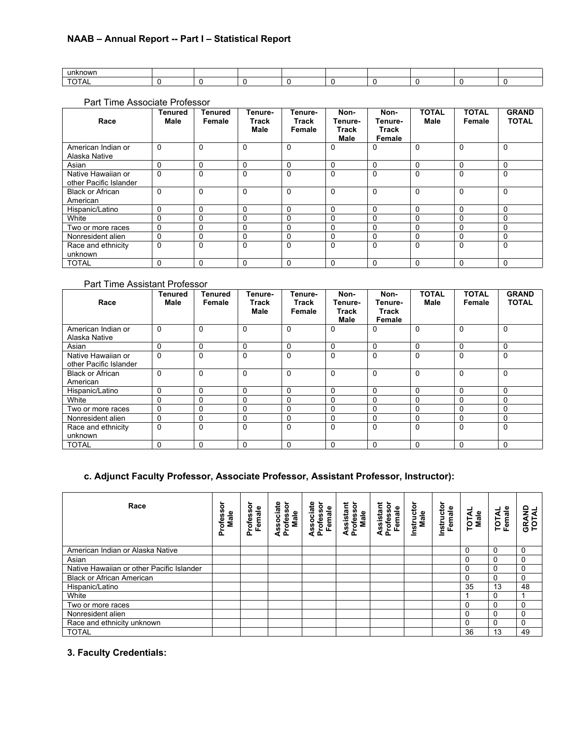| unknown |  |  |  |  |  |
|---------|--|--|--|--|--|
|         |  |  |  |  |  |

# Part Time Associate Professor

| Race                                         | <b>Tenured</b><br>Male | Tenured<br>Female | Tenure-<br>Track<br>Male | Tenure-<br>Track<br>Female | Non-<br>Tenure-<br>Track<br><b>Male</b> | Non-<br>Tenure-<br>Track<br>Female | <b>TOTAL</b><br><b>Male</b> | <b>TOTAL</b><br>Female | <b>GRAND</b><br><b>TOTAL</b> |
|----------------------------------------------|------------------------|-------------------|--------------------------|----------------------------|-----------------------------------------|------------------------------------|-----------------------------|------------------------|------------------------------|
| American Indian or<br>Alaska Native          | 0                      | $\Omega$          | $\mathbf 0$              | 0                          | 0                                       | 0                                  | $\Omega$                    | 0                      | $\Omega$                     |
| Asian                                        | 0                      | 0                 | $\mathbf 0$              | 0                          | 0                                       | $\Omega$                           | $\Omega$                    | 0                      | $\Omega$                     |
| Native Hawaiian or<br>other Pacific Islander | 0                      | $\Omega$          | $\Omega$                 | $\Omega$                   | 0                                       | $\Omega$                           | $\Omega$                    | $\Omega$               | $\Omega$                     |
| <b>Black or African</b><br>American          | 0                      | $\Omega$          | $\Omega$                 | $\Omega$                   | 0                                       | $\Omega$                           | $\Omega$                    | 0                      | $\Omega$                     |
| Hispanic/Latino                              | 0                      | $\Omega$          | 0                        | $\Omega$                   | 0                                       | $\Omega$                           | 0                           | $\Omega$               | $\Omega$                     |
| White                                        | 0                      | $\Omega$          | $\mathbf 0$              | $\Omega$                   | 0                                       | $\Omega$                           | $\Omega$                    | 0                      | 0                            |
| Two or more races                            | 0                      | 0                 | 0                        | $\Omega$                   | 0                                       | 0                                  | $\Omega$                    | 0                      | 0                            |
| Nonresident alien                            | 0                      | 0                 | $\Omega$                 | $\Omega$                   | 0                                       | 0                                  | $\Omega$                    | 0                      | 0                            |
| Race and ethnicity<br>unknown                | 0                      | $\Omega$          | $\Omega$                 | $\Omega$                   | 0                                       | $\Omega$                           | $\Omega$                    | $\Omega$               | 0                            |
| <b>TOTAL</b>                                 | 0                      | 0                 | $\Omega$                 | $\Omega$                   | 0                                       | $\Omega$                           | $\Omega$                    | 0                      | $\Omega$                     |

# Part Time Assistant Professor

| Race                                         | <b>Tenured</b><br>Male | Tenured<br>Female | Tenure-<br>Track<br>Male | Tenure-<br>Track<br>Female | Non-<br>Tenure-<br>Track<br>Male | Non-<br>Tenure-<br>Track<br>Female | <b>TOTAL</b><br><b>Male</b> | <b>TOTAL</b><br>Female | <b>GRAND</b><br><b>TOTAL</b> |
|----------------------------------------------|------------------------|-------------------|--------------------------|----------------------------|----------------------------------|------------------------------------|-----------------------------|------------------------|------------------------------|
| American Indian or<br>Alaska Native          | 0                      | $\mathbf 0$       | $\Omega$                 | $\Omega$                   | $\Omega$                         | $\Omega$                           | 0                           | $\Omega$               | $\Omega$                     |
| Asian                                        | 0                      | $\mathbf 0$       | $\Omega$                 | $\Omega$                   | 0                                | $\Omega$                           | 0                           | 0                      | $\Omega$                     |
| Native Hawaiian or<br>other Pacific Islander | $\Omega$               | $\Omega$          | $\mathbf 0$              | $\Omega$                   | 0                                | $\Omega$                           | $\Omega$                    | 0                      | $\Omega$                     |
| <b>Black or African</b><br>American          | $\Omega$               | $\Omega$          | $\mathbf 0$              | $\Omega$                   | $\mathbf 0$                      | $\Omega$                           | $\Omega$                    | $\mathbf 0$            | $\Omega$                     |
| Hispanic/Latino                              | 0                      | 0                 | 0                        | 0                          | 0                                | 0                                  | 0                           | 0                      | $\Omega$                     |
| White                                        | 0                      | $\mathbf 0$       | $\mathbf 0$              | $\Omega$                   | 0                                | $\Omega$                           | $\Omega$                    | 0                      | $\Omega$                     |
| Two or more races                            | 0                      | $\mathbf 0$       | 0                        | $\Omega$                   | 0                                | $\Omega$                           | $\Omega$                    | 0                      | $\Omega$                     |
| Nonresident alien                            | 0                      | $\mathbf 0$       | $\mathbf 0$              | $\Omega$                   | 0                                | $\Omega$                           | 0                           | $\mathbf 0$            | 0                            |
| Race and ethnicity<br>unknown                | 0                      | $\Omega$          | $\Omega$                 | $\Omega$                   | $\Omega$                         | $\Omega$                           | 0                           | $\Omega$               | $\Omega$                     |
| <b>TOTAL</b>                                 | 0                      | $\Omega$          | $\Omega$                 | $\Omega$                   | $\Omega$                         | $\Omega$                           | $\Omega$                    | $\Omega$               | $\Omega$                     |

# **c. Adjunct Faculty Professor, Associate Professor, Assistant Professor, Instructor):**

| Race                                      | Professor<br>Male | rofessor<br>Female<br>≏ | Associate<br>Professor<br>Male | ssociate<br>Professor<br>Female<br>đ | Assistant<br>Professor<br>Male | Assistant<br>Professor<br>Female | Instructor<br>Male | Instructor<br>Female | TOTAL<br>Male | Female<br>TOTAL | <b>GRAND</b><br>TOTAL |
|-------------------------------------------|-------------------|-------------------------|--------------------------------|--------------------------------------|--------------------------------|----------------------------------|--------------------|----------------------|---------------|-----------------|-----------------------|
| American Indian or Alaska Native          |                   |                         |                                |                                      |                                |                                  |                    |                      | $\mathbf{0}$  | $\Omega$        | 0                     |
| Asian                                     |                   |                         |                                |                                      |                                |                                  |                    |                      | 0             | $\Omega$        | 0                     |
| Native Hawaiian or other Pacific Islander |                   |                         |                                |                                      |                                |                                  |                    |                      | $\Omega$      | O               | 0                     |
| <b>Black or African American</b>          |                   |                         |                                |                                      |                                |                                  |                    |                      | 0             | $\Omega$        | 0                     |
| Hispanic/Latino                           |                   |                         |                                |                                      |                                |                                  |                    |                      | 35            | 13              | 48                    |
| White                                     |                   |                         |                                |                                      |                                |                                  |                    |                      |               | $\Omega$        |                       |
| Two or more races                         |                   |                         |                                |                                      |                                |                                  |                    |                      | 0             | $\Omega$        | 0                     |
| Nonresident alien                         |                   |                         |                                |                                      |                                |                                  |                    |                      | 0             | $\Omega$        | 0                     |
| Race and ethnicity unknown                |                   |                         |                                |                                      |                                |                                  |                    |                      | 0             | O               | 0                     |
| <b>TOTAL</b>                              |                   |                         |                                |                                      |                                |                                  |                    |                      | 36            | 13              | 49                    |

# **3. Faculty Credentials:**